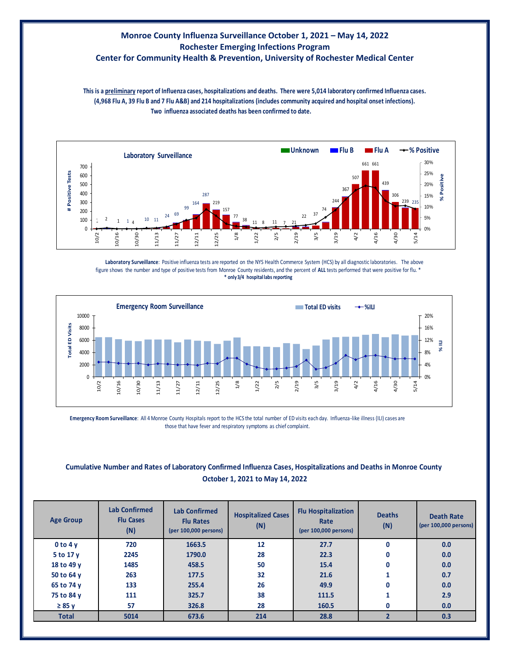## **Monroe County Influenza Surveillance October 1, 2021 – May 14, 2022 Rochester Emerging Infections Program**

## **Center for Community Health & Prevention, University of Rochester Medical Center**

**Two influenza associated deaths has been confirmed to date. This is a preliminary report of Influenza cases, hospitalizations and deaths. There were 5,014 laboratory confirmed Influenza cases. (4,968 Flu A, 39 Flu B and 7 Flu A&B) and 214 hospitalizations (includes community acquired and hospital onset infections).**



**Laboratory Surveillance**: Positive influenza tests are reported on the NYS Health Commerce System (HCS) by all diagnostic laboratories. The above figure shows the number and type of positive tests from Monroe County residents, and the percent of **ALL** tests performed that were positive for flu. \* **\* only 3/4 hospital labs reporting**



**Emergency Room Surveillance**: All 4 Monroe County Hospitals report to the HCS the total number of ED visits each day. Influenza-like illness (ILI) cases are those that have fever and respiratory symptoms as chief complaint.

## **Cumulative Number and Rates of Laboratory Confirmed Influenza Cases, Hospitalizations and Deaths in Monroe County October 1, 2021 to May 14, 2022**

| <b>Age Group</b> | <b>Lab Confirmed</b><br><b>Flu Cases</b><br>(N) | <b>Lab Confirmed</b><br><b>Flu Rates</b><br>(per 100,000 persons) | <b>Hospitalized Cases</b><br>(N) | <b>Flu Hospitalization</b><br>Rate<br>(per 100,000 persons) | <b>Deaths</b><br>(N) | <b>Death Rate</b><br>(per 100,000 persons) |
|------------------|-------------------------------------------------|-------------------------------------------------------------------|----------------------------------|-------------------------------------------------------------|----------------------|--------------------------------------------|
| 0 to 4v          | 720                                             | 1663.5                                                            | 12                               | 27.7                                                        | $\mathbf{0}$         | 0.0                                        |
| 5 to 17 y        | 2245                                            | 1790.0                                                            | 28                               | 22.3                                                        | $\mathbf{0}$         | 0.0                                        |
| 18 to 49 y       | 1485                                            | 458.5                                                             | 50                               | 15.4                                                        | 0                    | 0.0                                        |
| 50 to 64 y       | 263                                             | 177.5                                                             | 32                               | 21.6                                                        |                      | 0.7                                        |
| 65 to 74 y       | 133                                             | 255.4                                                             | 26                               | 49.9                                                        | 0                    | 0.0                                        |
| 75 to 84 y       | 111                                             | 325.7                                                             | 38                               | 111.5                                                       |                      | 2.9                                        |
| $\geq 85$ y      | 57                                              | 326.8                                                             | 28                               | 160.5                                                       | 0                    | 0.0                                        |
| <b>Total</b>     | 5014                                            | 673.6                                                             | 214                              | 28.8                                                        |                      | 0.3                                        |